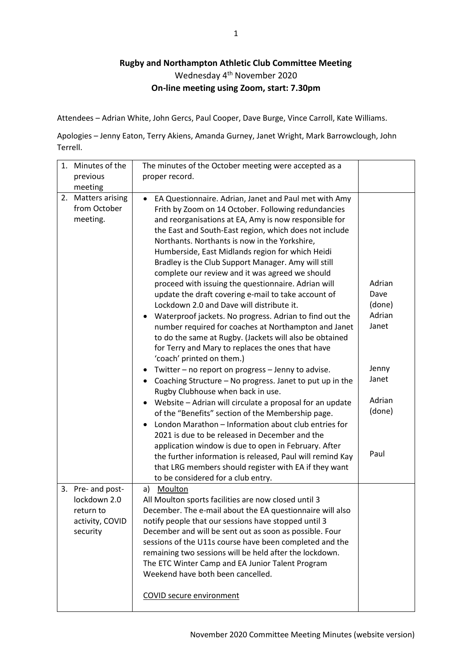## **Rugby and Northampton Athletic Club Committee Meeting** Wednesday 4<sup>th</sup> November 2020 **On-line meeting using Zoom, start: 7.30pm**

Attendees – Adrian White, John Gercs, Paul Cooper, Dave Burge, Vince Carroll, Kate Williams.

Apologies – Jenny Eaton, Terry Akiens, Amanda Gurney, Janet Wright, Mark Barrowclough, John Terrell.

| Minutes of the<br>1.                                                          | The minutes of the October meeting were accepted as a                                                                                                                                                                                                                                                                                                                                                                                                                                                                                                                                                                                                                                                                                                                                                                                                                                                                                                                                                                                                                                                                                                                                                                                                                                                                                                                                                                                                                                                               |                                                                                           |
|-------------------------------------------------------------------------------|---------------------------------------------------------------------------------------------------------------------------------------------------------------------------------------------------------------------------------------------------------------------------------------------------------------------------------------------------------------------------------------------------------------------------------------------------------------------------------------------------------------------------------------------------------------------------------------------------------------------------------------------------------------------------------------------------------------------------------------------------------------------------------------------------------------------------------------------------------------------------------------------------------------------------------------------------------------------------------------------------------------------------------------------------------------------------------------------------------------------------------------------------------------------------------------------------------------------------------------------------------------------------------------------------------------------------------------------------------------------------------------------------------------------------------------------------------------------------------------------------------------------|-------------------------------------------------------------------------------------------|
| previous                                                                      | proper record.                                                                                                                                                                                                                                                                                                                                                                                                                                                                                                                                                                                                                                                                                                                                                                                                                                                                                                                                                                                                                                                                                                                                                                                                                                                                                                                                                                                                                                                                                                      |                                                                                           |
| meeting                                                                       |                                                                                                                                                                                                                                                                                                                                                                                                                                                                                                                                                                                                                                                                                                                                                                                                                                                                                                                                                                                                                                                                                                                                                                                                                                                                                                                                                                                                                                                                                                                     |                                                                                           |
| 2. Matters arising<br>from October<br>meeting.                                | EA Questionnaire. Adrian, Janet and Paul met with Amy<br>$\bullet$<br>Frith by Zoom on 14 October. Following redundancies<br>and reorganisations at EA, Amy is now responsible for<br>the East and South-East region, which does not include<br>Northants. Northants is now in the Yorkshire,<br>Humberside, East Midlands region for which Heidi<br>Bradley is the Club Support Manager. Amy will still<br>complete our review and it was agreed we should<br>proceed with issuing the questionnaire. Adrian will<br>update the draft covering e-mail to take account of<br>Lockdown 2.0 and Dave will distribute it.<br>Waterproof jackets. No progress. Adrian to find out the<br>number required for coaches at Northampton and Janet<br>to do the same at Rugby. (Jackets will also be obtained<br>for Terry and Mary to replaces the ones that have<br>'coach' printed on them.)<br>Twitter - no report on progress - Jenny to advise.<br>٠<br>Coaching Structure - No progress. Janet to put up in the<br>$\bullet$<br>Rugby Clubhouse when back in use.<br>Website - Adrian will circulate a proposal for an update<br>٠<br>of the "Benefits" section of the Membership page.<br>London Marathon - Information about club entries for<br>2021 is due to be released in December and the<br>application window is due to open in February. After<br>the further information is released, Paul will remind Kay<br>that LRG members should register with EA if they want<br>to be considered for a club entry. | Adrian<br>Dave<br>(done)<br>Adrian<br>Janet<br>Jenny<br>Janet<br>Adrian<br>(done)<br>Paul |
| 3. Pre- and post-<br>lockdown 2.0<br>return to<br>activity, COVID<br>security | Moulton<br>a)<br>All Moulton sports facilities are now closed until 3<br>December. The e-mail about the EA questionnaire will also<br>notify people that our sessions have stopped until 3<br>December and will be sent out as soon as possible. Four<br>sessions of the U11s course have been completed and the<br>remaining two sessions will be held after the lockdown.<br>The ETC Winter Camp and EA Junior Talent Program<br>Weekend have both been cancelled.<br><b>COVID secure environment</b>                                                                                                                                                                                                                                                                                                                                                                                                                                                                                                                                                                                                                                                                                                                                                                                                                                                                                                                                                                                                             |                                                                                           |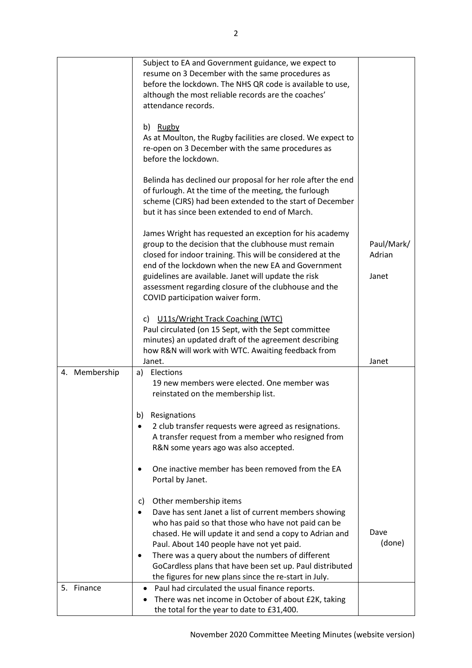|               | Subject to EA and Government guidance, we expect to<br>resume on 3 December with the same procedures as<br>before the lockdown. The NHS QR code is available to use,<br>although the most reliable records are the coaches'<br>attendance records.<br>b) Rugby<br>As at Moulton, the Rugby facilities are closed. We expect to<br>re-open on 3 December with the same procedures as<br>before the lockdown.<br>Belinda has declined our proposal for her role after the end<br>of furlough. At the time of the meeting, the furlough<br>scheme (CJRS) had been extended to the start of December<br>but it has since been extended to end of March. |                               |
|---------------|-----------------------------------------------------------------------------------------------------------------------------------------------------------------------------------------------------------------------------------------------------------------------------------------------------------------------------------------------------------------------------------------------------------------------------------------------------------------------------------------------------------------------------------------------------------------------------------------------------------------------------------------------------|-------------------------------|
|               | James Wright has requested an exception for his academy<br>group to the decision that the clubhouse must remain<br>closed for indoor training. This will be considered at the<br>end of the lockdown when the new EA and Government<br>guidelines are available. Janet will update the risk<br>assessment regarding closure of the clubhouse and the<br>COVID participation waiver form.                                                                                                                                                                                                                                                            | Paul/Mark/<br>Adrian<br>Janet |
|               | U11s/Wright Track Coaching (WTC)<br>C)<br>Paul circulated (on 15 Sept, with the Sept committee<br>minutes) an updated draft of the agreement describing<br>how R&N will work with WTC. Awaiting feedback from<br>Janet.                                                                                                                                                                                                                                                                                                                                                                                                                             | Janet                         |
| 4. Membership | a) Elections<br>19 new members were elected. One member was<br>reinstated on the membership list.<br>Resignations<br>b)<br>2 club transfer requests were agreed as resignations.<br>A transfer request from a member who resigned from<br>R&N some years ago was also accepted.<br>One inactive member has been removed from the EA<br>Portal by Janet.                                                                                                                                                                                                                                                                                             |                               |
|               | Other membership items<br>C)<br>Dave has sent Janet a list of current members showing<br>who has paid so that those who have not paid can be<br>chased. He will update it and send a copy to Adrian and<br>Paul. About 140 people have not yet paid.<br>There was a query about the numbers of different<br>GoCardless plans that have been set up. Paul distributed<br>the figures for new plans since the re-start in July.                                                                                                                                                                                                                       | Dave<br>(done)                |
| Finance<br>5. | Paul had circulated the usual finance reports.<br>There was net income in October of about £2K, taking<br>the total for the year to date to £31,400.                                                                                                                                                                                                                                                                                                                                                                                                                                                                                                |                               |